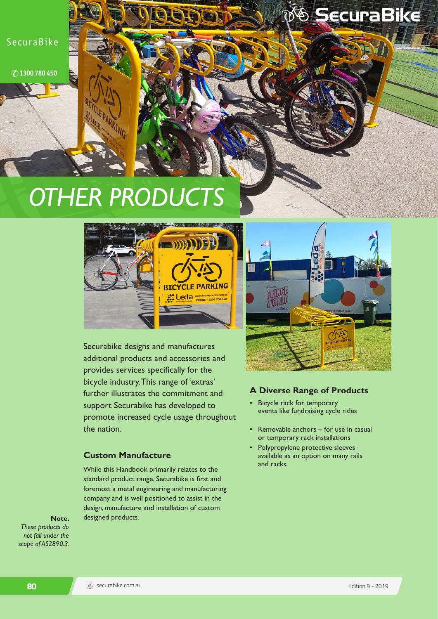SecuraBike

**1300 780 450**

# *OTHER PRODUCTS*



Securabike designs and manufactures additional products and accessories and provides services specifically for the bicycle industry. This range of 'extras' further illustrates the commitment and support Securabike has developed to promote increased cycle usage throughout the nation.

## **Custom Manufacture**

While this Handbook primarily relates to the standard product range, Securabike is first and foremost a metal engineering and manufacturing company and is well positioned to assist in the design, manufacture and installation of custom **Note.** designed products.





**& SecuraBike** 

### **A Diverse Range of Products**

- Bicycle rack for temporary events like fundraising cycle rides
- Removable anchors for use in casual or temporary rack installations
- Polypropylene protective sleeves available as an option on many rails and racks.